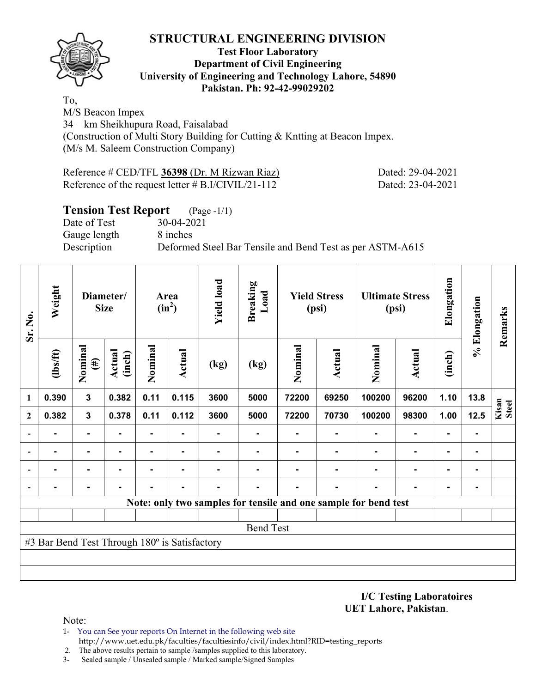

#### **Test Floor Laboratory Department of Civil Engineering University of Engineering and Technology Lahore, 54890 Pakistan. Ph: 92-42-99029202**

To, M/S Beacon Impex 34 – km Sheikhupura Road, Faisalabad (Construction of Multi Story Building for Cutting & Kntting at Beacon Impex. (M/s M. Saleem Construction Company)

| Reference # CED/TFL 36398 (Dr. M Rizwan Riaz)         | Dated: 29-04-2021 |
|-------------------------------------------------------|-------------------|
| Reference of the request letter $\#$ B.I/CIVIL/21-112 | Dated: 23-04-2021 |

## **Tension Test Report** (Page -1/1)

Date of Test 30-04-2021 Gauge length 8 inches

Description Deformed Steel Bar Tensile and Bend Test as per ASTM-A615

| Sr. No.      | Weight<br>Diameter/<br><b>Size</b>            |                                       |       |         | Area<br>$(in^2)$ |      | <b>Yield load</b> |         | <b>Breaking</b><br>Load |                                                                 | <b>Yield Stress</b><br>(psi) |        | <b>Ultimate Stress</b><br>(psi) | Elongation     | % Elongation | Remarks |
|--------------|-----------------------------------------------|---------------------------------------|-------|---------|------------------|------|-------------------|---------|-------------------------|-----------------------------------------------------------------|------------------------------|--------|---------------------------------|----------------|--------------|---------|
|              | $\frac{2}{10}$                                | Nominal<br>Actual<br>(inch)<br>$(\#)$ |       | Nominal | <b>Actual</b>    | (kg) | (kg)              | Nominal | <b>Actual</b>           | Nominal                                                         | Actual                       | (inch) |                                 |                |              |         |
| 1            | 0.390                                         | $\mathbf{3}$                          | 0.382 | 0.11    | 0.115            | 3600 | 5000              | 72200   | 69250                   | 100200                                                          | 96200                        | 1.10   | 13.8                            |                |              |         |
| $\mathbf{2}$ | 0.382                                         | $\mathbf{3}$                          | 0.378 | 0.11    | 0.112            | 3600 | 5000              | 72200   | 70730                   | 100200                                                          | 98300                        | 1.00   | 12.5                            | Kisan<br>Steel |              |         |
|              |                                               | $\blacksquare$                        |       | ۰       | ۰.               |      |                   |         |                         |                                                                 | $\blacksquare$               |        | ۰                               |                |              |         |
|              |                                               | $\blacksquare$                        |       |         |                  |      |                   |         |                         |                                                                 |                              |        | $\blacksquare$                  |                |              |         |
|              |                                               | $\blacksquare$                        |       |         |                  |      |                   |         |                         |                                                                 |                              |        | $\blacksquare$                  |                |              |         |
|              |                                               |                                       |       |         |                  |      | -                 |         |                         |                                                                 |                              |        | ۰                               |                |              |         |
|              |                                               |                                       |       |         |                  |      |                   |         |                         | Note: only two samples for tensile and one sample for bend test |                              |        |                                 |                |              |         |
|              |                                               |                                       |       |         |                  |      |                   |         |                         |                                                                 |                              |        |                                 |                |              |         |
|              |                                               |                                       |       |         |                  |      | <b>Bend Test</b>  |         |                         |                                                                 |                              |        |                                 |                |              |         |
|              | #3 Bar Bend Test Through 180° is Satisfactory |                                       |       |         |                  |      |                   |         |                         |                                                                 |                              |        |                                 |                |              |         |
|              |                                               |                                       |       |         |                  |      |                   |         |                         |                                                                 |                              |        |                                 |                |              |         |
|              |                                               |                                       |       |         |                  |      |                   |         |                         |                                                                 |                              |        |                                 |                |              |         |

**I/C Testing Laboratoires UET Lahore, Pakistan**.

- 1- You can See your reports On Internet in the following web site http://www.uet.edu.pk/faculties/facultiesinfo/civil/index.html?RID=testing\_reports
- 2. The above results pertain to sample /samples supplied to this laboratory.
- 3- Sealed sample / Unsealed sample / Marked sample/Signed Samples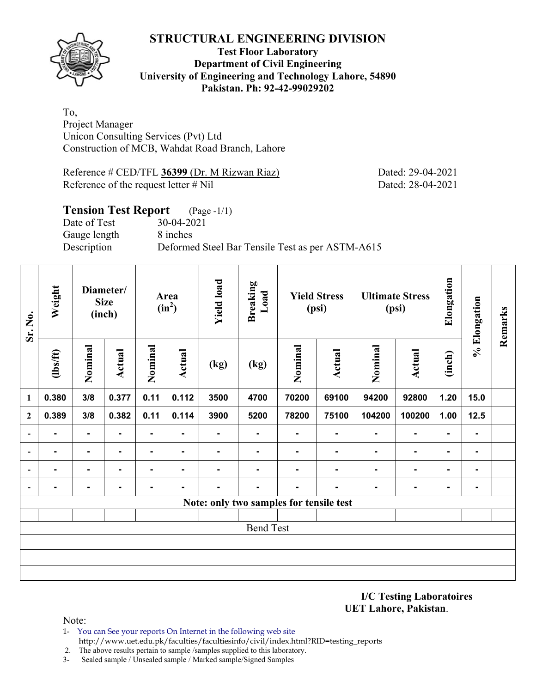

## **Test Floor Laboratory Department of Civil Engineering University of Engineering and Technology Lahore, 54890 Pakistan. Ph: 92-42-99029202**

To, Project Manager Unicon Consulting Services (Pvt) Ltd Construction of MCB, Wahdat Road Branch, Lahore

Reference # CED/TFL **36399** (Dr. M Rizwan Riaz) Dated: 29-04-2021 Reference of the request letter # Nil Dated: 28-04-2021

# **Tension Test Report** (Page -1/1) Date of Test 30-04-2021 Gauge length 8 inches Description Deformed Steel Bar Tensile Test as per ASTM-A615

| Sr. No.                  | Weight<br>Diameter/<br><b>Size</b><br>(inch) |                |                | Area<br>$(in^2)$ |                | <b>Yield load</b> | <b>Breaking</b><br>Load                 | <b>Yield Stress</b><br>(psi) |         | <b>Ultimate Stress</b><br>(psi) |                | Elongation     | % Elongation | Remarks |
|--------------------------|----------------------------------------------|----------------|----------------|------------------|----------------|-------------------|-----------------------------------------|------------------------------|---------|---------------------------------|----------------|----------------|--------------|---------|
|                          | Nominal<br><b>Actual</b><br>$\frac{2}{10}$   |                | Nominal        | <b>Actual</b>    | (kg)           | (kg)              | Nominal                                 | <b>Actual</b>                | Nominal | <b>Actual</b>                   | (inch)         |                |              |         |
| $\mathbf{1}$             | 0.380                                        | 3/8            | 0.377          | 0.11             | 0.112          | 3500              | 4700                                    | 70200                        | 69100   | 94200                           | 92800          | 1.20           | 15.0         |         |
| $\boldsymbol{2}$         | 0.389                                        | 3/8            | 0.382          | 0.11             | 0.114          | 3900              | 5200                                    | 78200                        | 75100   | 104200                          | 100200         | 1.00           | 12.5         |         |
| $\overline{\phantom{a}}$ | ۰                                            | ۰              | $\blacksquare$ | $\blacksquare$   | $\blacksquare$ | ۰                 | ۰                                       | $\blacksquare$               | ۰       | $\blacksquare$                  | ۰              |                | ۰            |         |
| $\overline{\phantom{a}}$ | -                                            | $\blacksquare$ |                | $\blacksquare$   | $\blacksquare$ |                   | $\blacksquare$                          |                              |         | ٠                               | $\blacksquare$ | ۰              | ۰            |         |
| $\overline{\phantom{a}}$ | $\blacksquare$                               | ٠              |                |                  | $\blacksquare$ | $\blacksquare$    |                                         |                              |         |                                 | $\blacksquare$ | $\blacksquare$ | ۰            |         |
| $\overline{\phantom{a}}$ | $\blacksquare$                               | ۰              | ۰              | ٠                | ۰              | -                 | $\blacksquare$                          | $\blacksquare$               | ۰       | $\blacksquare$                  | $\blacksquare$ | ۰              | ۰            |         |
|                          |                                              |                |                |                  |                |                   | Note: only two samples for tensile test |                              |         |                                 |                |                |              |         |
|                          |                                              |                |                |                  |                |                   |                                         |                              |         |                                 |                |                |              |         |
|                          |                                              |                |                |                  |                |                   | <b>Bend Test</b>                        |                              |         |                                 |                |                |              |         |
|                          |                                              |                |                |                  |                |                   |                                         |                              |         |                                 |                |                |              |         |
|                          |                                              |                |                |                  |                |                   |                                         |                              |         |                                 |                |                |              |         |
|                          |                                              |                |                |                  |                |                   |                                         |                              |         |                                 |                |                |              |         |

**I/C Testing Laboratoires UET Lahore, Pakistan**.

- 1- You can See your reports On Internet in the following web site http://www.uet.edu.pk/faculties/facultiesinfo/civil/index.html?RID=testing\_reports
- 2. The above results pertain to sample /samples supplied to this laboratory.
- 3- Sealed sample / Unsealed sample / Marked sample/Signed Samples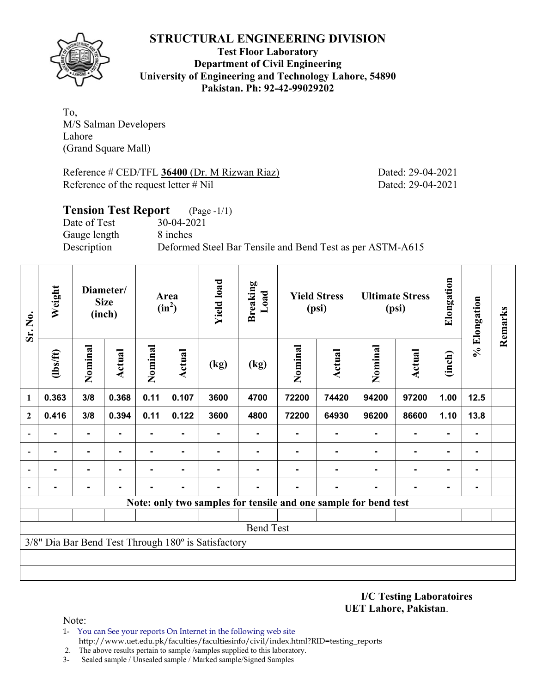

**Test Floor Laboratory Department of Civil Engineering University of Engineering and Technology Lahore, 54890 Pakistan. Ph: 92-42-99029202** 

To, M/S Salman Developers Lahore (Grand Square Mall)

Reference # CED/TFL 36400 (Dr. M Rizwan Riaz) Dated: 29-04-2021 Reference of the request letter # Nil Dated: 29-04-2021

| <b>Tension Test Report</b> (Page -1/1) |                                                           |
|----------------------------------------|-----------------------------------------------------------|
| Date of Test                           | 30-04-2021                                                |
| Gauge length                           | 8 inches                                                  |
| Description                            | Deformed Steel Bar Tensile and Bend Test as per ASTM-A615 |
|                                        |                                                           |

| Sr. No.                  | Weight<br>Diameter/<br><b>Size</b><br>(inch) |                | Area<br>$(in^2)$ |                | <b>Yield load</b> | <b>Breaking</b><br>Load                             | <b>Yield Stress</b><br>(psi)                                    |                | <b>Ultimate Stress</b><br>(psi) |         | Elongation     | % Elongation   | Remarks        |  |
|--------------------------|----------------------------------------------|----------------|------------------|----------------|-------------------|-----------------------------------------------------|-----------------------------------------------------------------|----------------|---------------------------------|---------|----------------|----------------|----------------|--|
|                          | (1bs/ft)                                     | Nominal        | Actual           | Nominal        | Actual            | (kg)                                                | (kg)                                                            | Nominal        | Actual                          | Nominal | <b>Actual</b>  | (inch)         |                |  |
| 1                        | 0.363                                        | 3/8            | 0.368            | 0.11           | 0.107             | 3600                                                | 4700                                                            | 72200          | 74420                           | 94200   | 97200          | 1.00           | 12.5           |  |
| $\mathbf{2}$             | 0.416                                        | 3/8            | 0.394            | 0.11           | 0.122             | 3600                                                | 4800                                                            | 72200          | 64930                           | 96200   | 86600          | 1.10           | 13.8           |  |
|                          | ٠                                            | ۰              |                  | -              | $\blacksquare$    |                                                     | ۰                                                               | $\blacksquare$ | $\blacksquare$                  |         | $\blacksquare$ | $\blacksquare$ | $\blacksquare$ |  |
|                          |                                              | $\blacksquare$ |                  | $\blacksquare$ | $\blacksquare$    |                                                     |                                                                 |                |                                 |         | $\blacksquare$ | $\blacksquare$ |                |  |
| $\overline{\phantom{0}}$ |                                              |                |                  |                |                   |                                                     |                                                                 |                |                                 |         |                | ۰              |                |  |
| $\overline{\phantom{a}}$ |                                              |                |                  |                |                   |                                                     |                                                                 |                |                                 |         |                | $\blacksquare$ |                |  |
|                          |                                              |                |                  |                |                   |                                                     | Note: only two samples for tensile and one sample for bend test |                |                                 |         |                |                |                |  |
|                          |                                              |                |                  |                |                   |                                                     |                                                                 |                |                                 |         |                |                |                |  |
|                          |                                              |                |                  |                |                   |                                                     | <b>Bend Test</b>                                                |                |                                 |         |                |                |                |  |
|                          |                                              |                |                  |                |                   | 3/8" Dia Bar Bend Test Through 180° is Satisfactory |                                                                 |                |                                 |         |                |                |                |  |
|                          |                                              |                |                  |                |                   |                                                     |                                                                 |                |                                 |         |                |                |                |  |
|                          |                                              |                |                  |                |                   |                                                     |                                                                 |                |                                 |         |                |                |                |  |

**I/C Testing Laboratoires UET Lahore, Pakistan**.

- 1- You can See your reports On Internet in the following web site http://www.uet.edu.pk/faculties/facultiesinfo/civil/index.html?RID=testing\_reports
- 2. The above results pertain to sample /samples supplied to this laboratory.
- 3- Sealed sample / Unsealed sample / Marked sample/Signed Samples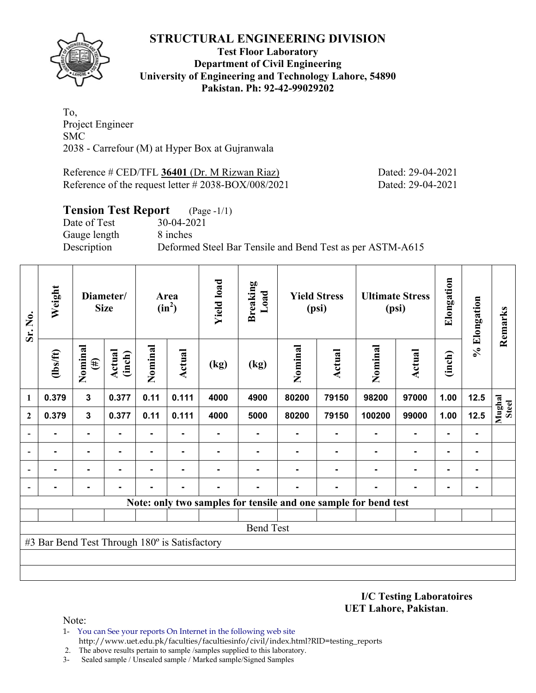

#### **Test Floor Laboratory Department of Civil Engineering University of Engineering and Technology Lahore, 54890 Pakistan. Ph: 92-42-99029202**

To, Project Engineer SMC 2038 - Carrefour (M) at Hyper Box at Gujranwala

Reference # CED/TFL **36401** (Dr. M Rizwan Riaz) Dated: 29-04-2021 Reference of the request letter # 2038-BOX/008/2021 Dated: 29-04-2021

## **Tension Test Report** (Page -1/1)

Date of Test 30-04-2021 Gauge length 8 inches

Description Deformed Steel Bar Tensile and Bend Test as per ASTM-A615

| Sr. No.                  | Weight                                        | Diameter/<br><b>Size</b> |                         | Area<br>$(in^2)$ |                | <b>Yield load</b> | <b>Breaking</b><br>Load | <b>Yield Stress</b><br>(psi) |               |                                                                 | <b>Ultimate Stress</b><br>(psi) |                | % Elongation | Remarks         |
|--------------------------|-----------------------------------------------|--------------------------|-------------------------|------------------|----------------|-------------------|-------------------------|------------------------------|---------------|-----------------------------------------------------------------|---------------------------------|----------------|--------------|-----------------|
|                          | $\frac{2}{10}$                                | Nominal<br>$(\#)$        | <b>Actual</b><br>(inch) |                  | Actual         | (kg)              | (kg)                    | Nominal                      | <b>Actual</b> | Nominal                                                         | <b>Actual</b>                   | (inch)         |              |                 |
| 1                        | 0.379                                         | $\mathbf{3}$             | 0.377                   | 0.11             | 0.111          | 4000              | 4900                    | 80200                        | 79150         | 98200                                                           | 97000                           | 1.00           | $12.5$       |                 |
| $\mathbf{2}$             | 0.379                                         | $\mathbf{3}$             | 0.377                   | 0.11             | 0.111          | 4000              | 5000                    | 80200                        | 79150         | 100200                                                          | 99000                           | 1.00           | 12.5         | Mughal<br>Steel |
|                          | $\blacksquare$                                | $\blacksquare$           | ۰                       |                  | $\blacksquare$ |                   | ۰                       |                              |               |                                                                 | $\blacksquare$                  | $\blacksquare$ | ۰            |                 |
|                          |                                               | ۰                        | -                       | ۰                | $\blacksquare$ |                   |                         |                              |               |                                                                 |                                 | ۰              | ۰            |                 |
| $\overline{\phantom{0}}$ |                                               | -                        |                         |                  |                |                   |                         |                              |               |                                                                 |                                 |                | ۰            |                 |
| $\blacksquare$           |                                               |                          |                         |                  |                |                   |                         |                              |               |                                                                 |                                 |                |              |                 |
|                          |                                               |                          |                         |                  |                |                   |                         |                              |               | Note: only two samples for tensile and one sample for bend test |                                 |                |              |                 |
|                          |                                               |                          |                         |                  |                |                   |                         |                              |               |                                                                 |                                 |                |              |                 |
|                          |                                               |                          |                         |                  |                |                   | <b>Bend Test</b>        |                              |               |                                                                 |                                 |                |              |                 |
|                          | #3 Bar Bend Test Through 180° is Satisfactory |                          |                         |                  |                |                   |                         |                              |               |                                                                 |                                 |                |              |                 |
|                          |                                               |                          |                         |                  |                |                   |                         |                              |               |                                                                 |                                 |                |              |                 |
|                          |                                               |                          |                         |                  |                |                   |                         |                              |               |                                                                 |                                 |                |              |                 |

**I/C Testing Laboratoires UET Lahore, Pakistan**.

- 1- You can See your reports On Internet in the following web site http://www.uet.edu.pk/faculties/facultiesinfo/civil/index.html?RID=testing\_reports
- 2. The above results pertain to sample /samples supplied to this laboratory.
- 3- Sealed sample / Unsealed sample / Marked sample/Signed Samples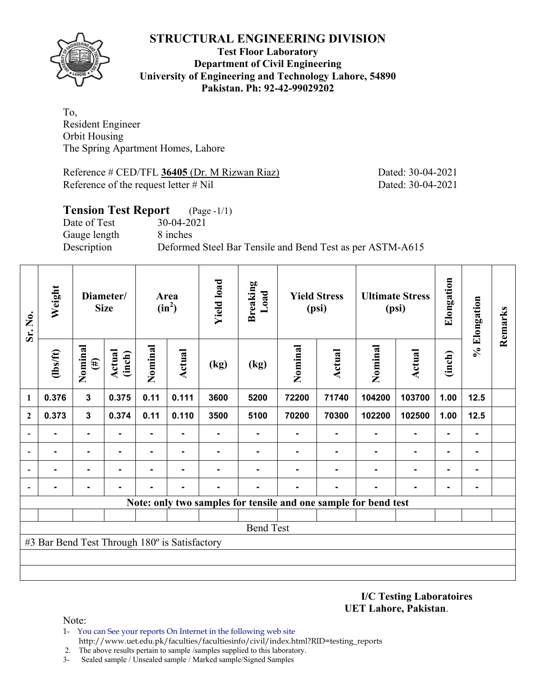

## **Test Floor Laboratory Department of Civil Engineering University of Engineering and Technology Lahore, 54890 Pakistan. Ph: 92-42-99029202**

To, Resident Engineer Orbit Housing The Spring Apartment Homes, Lahore

Reference # CED/TFL **36405** (Dr. M Rizwan Riaz) Dated: 30-04-2021 Reference of the request letter # Nil Dated: 30-04-2021

# **Tension Test Report** (Page -1/1) Date of Test 30-04-2021 Gauge length 8 inches Description Deformed Steel Bar Tensile and Bend Test as per ASTM-A615

| Sr. No.          | Weight<br>Diameter/<br><b>Size</b>            |                                              |                | Area<br>$(in^2)$ |        | <b>Yield load</b> | <b>Breaking</b><br>Load | <b>Yield Stress</b><br>(psi)                                    |        | <b>Ultimate Stress</b><br>(psi) |                          | Elongation     | % Elongation   | Remarks |
|------------------|-----------------------------------------------|----------------------------------------------|----------------|------------------|--------|-------------------|-------------------------|-----------------------------------------------------------------|--------|---------------------------------|--------------------------|----------------|----------------|---------|
|                  | (1bs/ft)                                      | Nominal<br><b>Actual</b><br>(inch)<br>$(\#)$ |                | Nominal          | Actual | (kg)              | (kg)                    | Nominal                                                         | Actual | Nominal                         | <b>Actual</b>            | (inch)         |                |         |
| 1                | 0.376                                         | $\mathbf{3}$                                 | 0.375          | 0.11             | 0.111  | 3600              | 5200                    | 72200                                                           | 71740  | 104200                          | 103700                   | 1.00           | $12.5$         |         |
| $\boldsymbol{2}$ | 0.373                                         | $\mathbf{3}$                                 | 0.374          | 0.11             | 0.110  | 3500              | 5100                    | 70200                                                           | 70300  | 102200                          | 102500                   | 1.00           | 12.5           |         |
|                  |                                               |                                              |                |                  |        |                   |                         |                                                                 |        |                                 | $\blacksquare$           |                |                |         |
|                  |                                               |                                              |                | ۰                |        |                   |                         |                                                                 |        |                                 | $\overline{\phantom{0}}$ | ۰              |                |         |
|                  | ۰                                             | $\blacksquare$                               | $\blacksquare$ | -                | ۰.     |                   | $\blacksquare$          | $\blacksquare$                                                  |        | ۰                               | $\blacksquare$           | $\blacksquare$ | $\blacksquare$ |         |
|                  |                                               |                                              |                |                  |        |                   |                         |                                                                 |        |                                 |                          | ۰              |                |         |
|                  |                                               |                                              |                |                  |        |                   |                         | Note: only two samples for tensile and one sample for bend test |        |                                 |                          |                |                |         |
|                  |                                               |                                              |                |                  |        |                   |                         |                                                                 |        |                                 |                          |                |                |         |
|                  |                                               |                                              |                |                  |        |                   | <b>Bend Test</b>        |                                                                 |        |                                 |                          |                |                |         |
|                  | #3 Bar Bend Test Through 180° is Satisfactory |                                              |                |                  |        |                   |                         |                                                                 |        |                                 |                          |                |                |         |
|                  |                                               |                                              |                |                  |        |                   |                         |                                                                 |        |                                 |                          |                |                |         |
|                  |                                               |                                              |                |                  |        |                   |                         |                                                                 |        |                                 |                          |                |                |         |

**I/C Testing Laboratoires UET Lahore, Pakistan**.

- 1- You can See your reports On Internet in the following web site http://www.uet.edu.pk/faculties/facultiesinfo/civil/index.html?RID=testing\_reports
- 2. The above results pertain to sample /samples supplied to this laboratory.
- 3- Sealed sample / Unsealed sample / Marked sample/Signed Samples